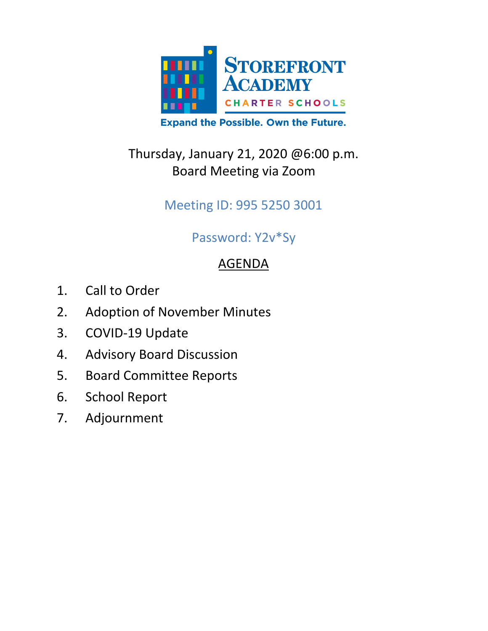

## Thursday, January 21, 2020 @6:00 p.m. Board Meeting via Zoom

Meeting ID: 995 5250 3001

## Password: Y2v\*Sy

# AGENDA

- 1. Call to Order
- 2. Adoption of November Minutes
- 3. COVID-19 Update
- 4. Advisory Board Discussion
- 5. Board Committee Reports
- 6. School Report
- 7. Adjournment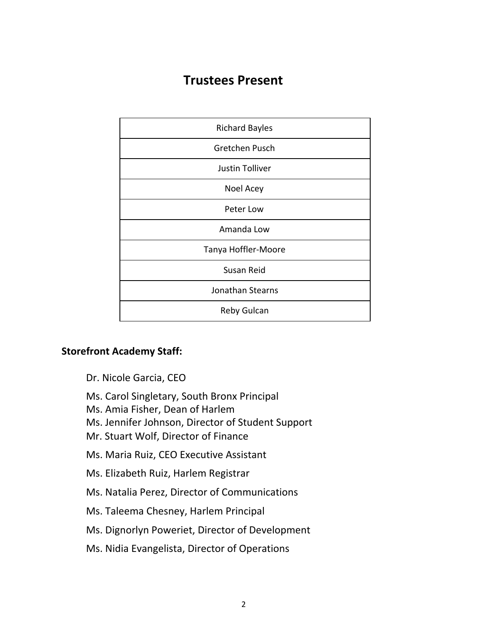### **Trustees Present**

| <b>Richard Bayles</b>  |
|------------------------|
| Gretchen Pusch         |
| <b>Justin Tolliver</b> |
| Noel Acey              |
| Peter Low              |
| Amanda Low             |
| Tanya Hoffler-Moore    |
| Susan Reid             |
| Jonathan Stearns       |
| Reby Gulcan            |

#### **Storefront Academy Staff:**

- Dr. Nicole Garcia, CEO
- Ms. Carol Singletary, South Bronx Principal
- Ms. Amia Fisher, Dean of Harlem
- Ms. Jennifer Johnson, Director of Student Support
- Mr. Stuart Wolf, Director of Finance
- Ms. Maria Ruiz, CEO Executive Assistant
- Ms. Elizabeth Ruiz, Harlem Registrar
- Ms. Natalia Perez, Director of Communications
- Ms. Taleema Chesney, Harlem Principal
- Ms. Dignorlyn Poweriet, Director of Development
- Ms. Nidia Evangelista, Director of Operations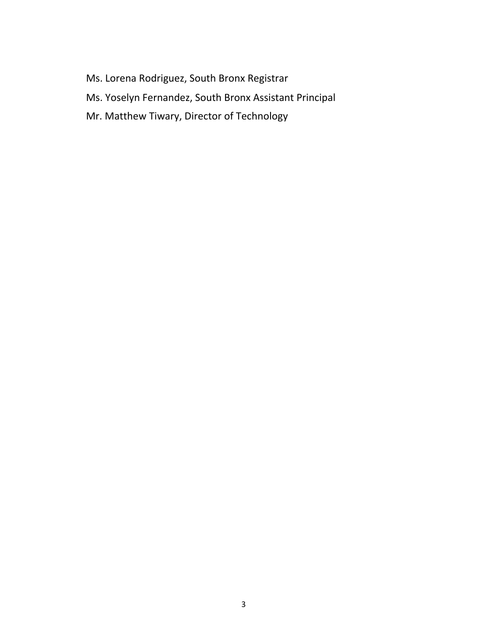- Ms. Lorena Rodriguez, South Bronx Registrar
- Ms. Yoselyn Fernandez, South Bronx Assistant Principal
- Mr. Matthew Tiwary, Director of Technology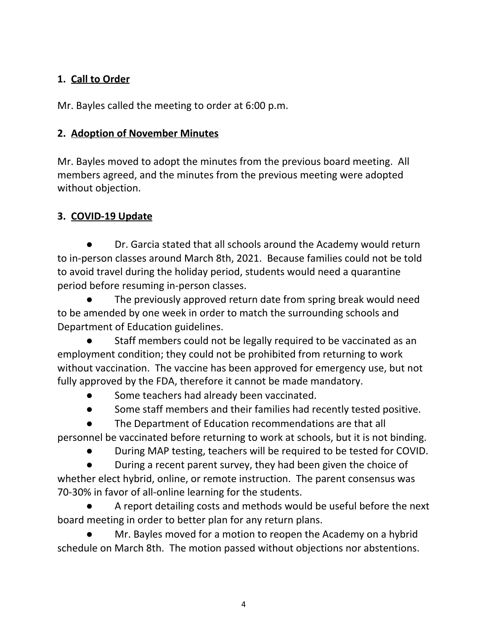#### **1. Call to Order**

Mr. Bayles called the meeting to order at 6:00 p.m.

#### **2. Adoption of November Minutes**

Mr. Bayles moved to adopt the minutes from the previous board meeting. All members agreed, and the minutes from the previous meeting were adopted without objection.

#### **3. COVID-19 Update**

Dr. Garcia stated that all schools around the Academy would return to in-person classes around March 8th, 2021. Because families could not be told to avoid travel during the holiday period, students would need a quarantine period before resuming in-person classes.

The previously approved return date from spring break would need to be amended by one week in order to match the surrounding schools and Department of Education guidelines.

Staff members could not be legally required to be vaccinated as an employment condition; they could not be prohibited from returning to work without vaccination. The vaccine has been approved for emergency use, but not fully approved by the FDA, therefore it cannot be made mandatory.

- Some teachers had already been vaccinated.
- Some staff members and their families had recently tested positive.
- The Department of Education recommendations are that all

personnel be vaccinated before returning to work at schools, but it is not binding.

● During MAP testing, teachers will be required to be tested for COVID.

During a recent parent survey, they had been given the choice of whether elect hybrid, online, or remote instruction. The parent consensus was 70-30% in favor of all-online learning for the students.

● A report detailing costs and methods would be useful before the next board meeting in order to better plan for any return plans.

Mr. Bayles moved for a motion to reopen the Academy on a hybrid schedule on March 8th. The motion passed without objections nor abstentions.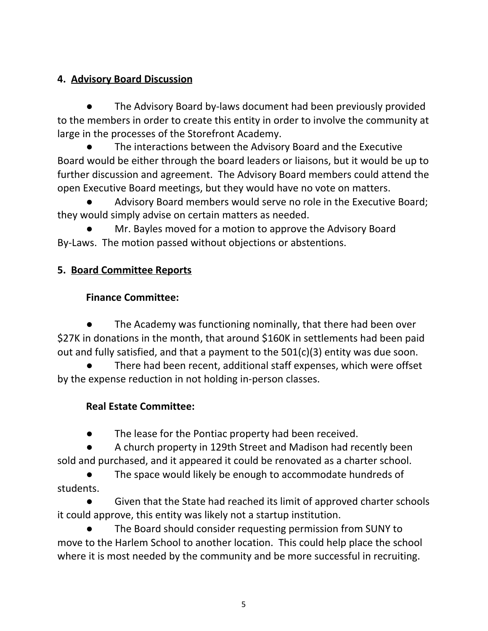#### **4. Advisory Board Discussion**

The Advisory Board by-laws document had been previously provided to the members in order to create this entity in order to involve the community at large in the processes of the Storefront Academy.

The interactions between the Advisory Board and the Executive Board would be either through the board leaders or liaisons, but it would be up to further discussion and agreement. The Advisory Board members could attend the open Executive Board meetings, but they would have no vote on matters.

Advisory Board members would serve no role in the Executive Board; they would simply advise on certain matters as needed.

Mr. Bayles moved for a motion to approve the Advisory Board By-Laws. The motion passed without objections or abstentions.

#### **5. Board Committee Reports**

#### **Finance Committee:**

The Academy was functioning nominally, that there had been over \$27K in donations in the month, that around \$160K in settlements had been paid out and fully satisfied, and that a payment to the 501(c)(3) entity was due soon.

There had been recent, additional staff expenses, which were offset by the expense reduction in not holding in-person classes.

### **Real Estate Committee:**

● The lease for the Pontiac property had been received.

A church property in 129th Street and Madison had recently been sold and purchased, and it appeared it could be renovated as a charter school.

The space would likely be enough to accommodate hundreds of students.

Given that the State had reached its limit of approved charter schools it could approve, this entity was likely not a startup institution.

The Board should consider requesting permission from SUNY to move to the Harlem School to another location. This could help place the school where it is most needed by the community and be more successful in recruiting.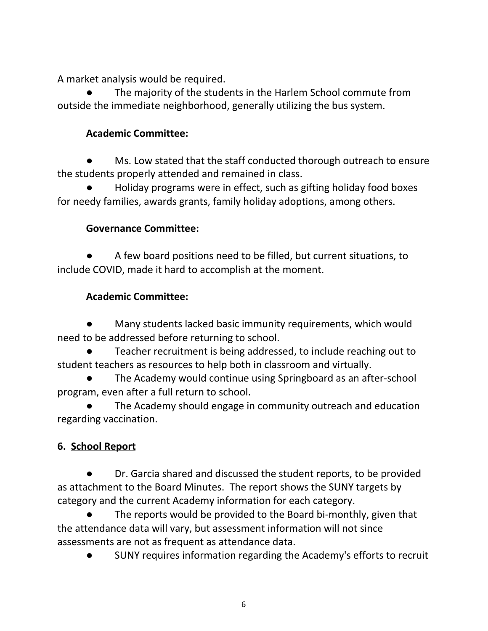A market analysis would be required.

The majority of the students in the Harlem School commute from outside the immediate neighborhood, generally utilizing the bus system.

#### **Academic Committee:**

Ms. Low stated that the staff conducted thorough outreach to ensure the students properly attended and remained in class.

**●** Holiday programs were in effect, such as gifting holiday food boxes for needy families, awards grants, family holiday adoptions, among others.

#### **Governance Committee:**

A few board positions need to be filled, but current situations, to include COVID, made it hard to accomplish at the moment.

#### **Academic Committee:**

Many students lacked basic immunity requirements, which would need to be addressed before returning to school.

Teacher recruitment is being addressed, to include reaching out to student teachers as resources to help both in classroom and virtually.

The Academy would continue using Springboard as an after-school program, even after a full return to school.

The Academy should engage in community outreach and education regarding vaccination.

### **6. School Report**

Dr. Garcia shared and discussed the student reports, to be provided as attachment to the Board Minutes. The report shows the SUNY targets by category and the current Academy information for each category.

The reports would be provided to the Board bi-monthly, given that the attendance data will vary, but assessment information will not since assessments are not as frequent as attendance data.

● SUNY requires information regarding the Academy's efforts to recruit